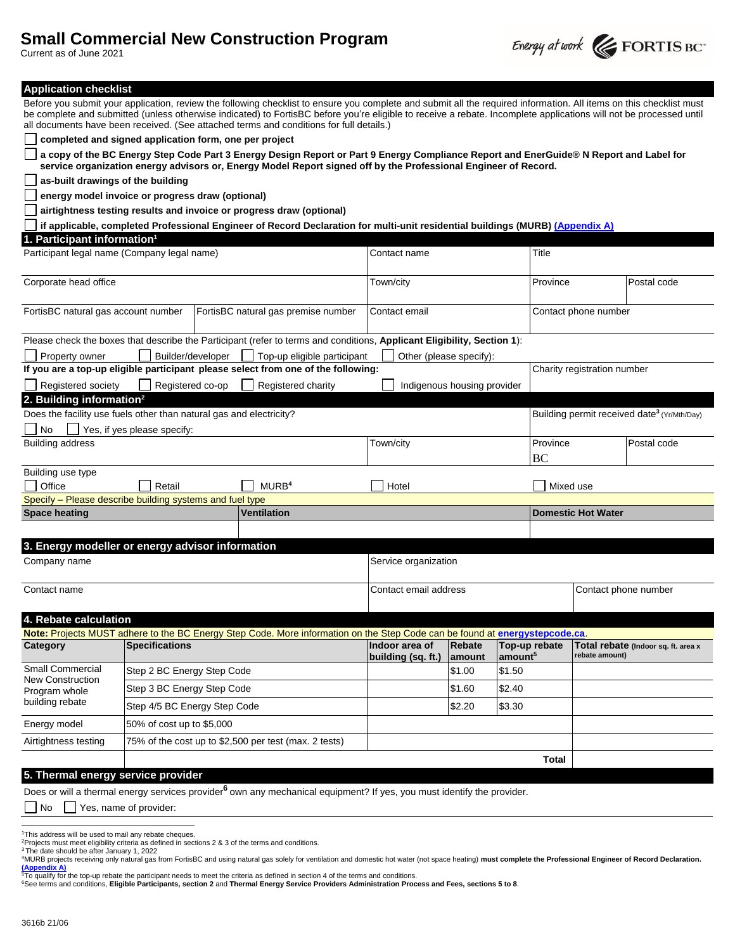# **Small Commercial New Construction Program**



| Current as of June 2021                                             |                                                        |  |                                                                                                                                                                                                                                                                                                                                                                                                                                      |                                                         |                             |                     |                             |                      | $\epsilon$ EQRITS BC                |  |
|---------------------------------------------------------------------|--------------------------------------------------------|--|--------------------------------------------------------------------------------------------------------------------------------------------------------------------------------------------------------------------------------------------------------------------------------------------------------------------------------------------------------------------------------------------------------------------------------------|---------------------------------------------------------|-----------------------------|---------------------|-----------------------------|----------------------|-------------------------------------|--|
| <b>Application checklist</b>                                        |                                                        |  |                                                                                                                                                                                                                                                                                                                                                                                                                                      |                                                         |                             |                     |                             |                      |                                     |  |
|                                                                     |                                                        |  | Before you submit your application, review the following checklist to ensure you complete and submit all the required information. All items on this checklist must<br>be complete and submitted (unless otherwise indicated) to FortisBC before you're eligible to receive a rebate. Incomplete applications will not be processed until<br>all documents have been received. (See attached terms and conditions for full details.) |                                                         |                             |                     |                             |                      |                                     |  |
|                                                                     | completed and signed application form, one per project |  |                                                                                                                                                                                                                                                                                                                                                                                                                                      |                                                         |                             |                     |                             |                      |                                     |  |
|                                                                     |                                                        |  | a copy of the BC Energy Step Code Part 3 Energy Design Report or Part 9 Energy Compliance Report and EnerGuide® N Report and Label for<br>service organization energy advisors or, Energy Model Report signed off by the Professional Engineer of Record.                                                                                                                                                                            |                                                         |                             |                     |                             |                      |                                     |  |
| as-built drawings of the building                                   |                                                        |  |                                                                                                                                                                                                                                                                                                                                                                                                                                      |                                                         |                             |                     |                             |                      |                                     |  |
|                                                                     | energy model invoice or progress draw (optional)       |  |                                                                                                                                                                                                                                                                                                                                                                                                                                      |                                                         |                             |                     |                             |                      |                                     |  |
|                                                                     |                                                        |  | airtightness testing results and invoice or progress draw (optional)                                                                                                                                                                                                                                                                                                                                                                 |                                                         |                             |                     |                             |                      |                                     |  |
|                                                                     |                                                        |  | if applicable, completed Professional Engineer of Record Declaration for multi-unit residential buildings (MURB) (Appendix A)                                                                                                                                                                                                                                                                                                        |                                                         |                             |                     |                             |                      |                                     |  |
| 1. Participant information <sup>1</sup>                             |                                                        |  |                                                                                                                                                                                                                                                                                                                                                                                                                                      |                                                         |                             |                     |                             |                      |                                     |  |
| Participant legal name (Company legal name)                         |                                                        |  |                                                                                                                                                                                                                                                                                                                                                                                                                                      | Contact name                                            |                             |                     | Title                       |                      |                                     |  |
| Corporate head office                                               |                                                        |  |                                                                                                                                                                                                                                                                                                                                                                                                                                      | Town/city                                               |                             |                     | Province                    |                      | Postal code                         |  |
| FortisBC natural gas account number                                 |                                                        |  | FortisBC natural gas premise number                                                                                                                                                                                                                                                                                                                                                                                                  | Contact email                                           |                             |                     | Contact phone number        |                      |                                     |  |
|                                                                     |                                                        |  | Please check the boxes that describe the Participant (refer to terms and conditions, Applicant Eligibility, Section 1):                                                                                                                                                                                                                                                                                                              |                                                         |                             |                     |                             |                      |                                     |  |
| Property owner                                                      | Builder/developer                                      |  | Top-up eligible participant                                                                                                                                                                                                                                                                                                                                                                                                          | Other (please specify):                                 |                             |                     |                             |                      |                                     |  |
|                                                                     |                                                        |  | If you are a top-up eligible participant please select from one of the following:                                                                                                                                                                                                                                                                                                                                                    |                                                         |                             |                     | Charity registration number |                      |                                     |  |
| Registered society                                                  | Registered co-op                                       |  | Registered charity                                                                                                                                                                                                                                                                                                                                                                                                                   |                                                         | Indigenous housing provider |                     |                             |                      |                                     |  |
| 2. Building information <sup>2</sup>                                |                                                        |  |                                                                                                                                                                                                                                                                                                                                                                                                                                      |                                                         |                             |                     |                             |                      |                                     |  |
| Does the facility use fuels other than natural gas and electricity? |                                                        |  |                                                                                                                                                                                                                                                                                                                                                                                                                                      | Building permit received date <sup>3</sup> (Yr/Mth/Day) |                             |                     |                             |                      |                                     |  |
| No                                                                  | Yes, if yes please specify:                            |  |                                                                                                                                                                                                                                                                                                                                                                                                                                      |                                                         |                             |                     |                             |                      |                                     |  |
| <b>Building address</b>                                             |                                                        |  |                                                                                                                                                                                                                                                                                                                                                                                                                                      | Town/city                                               |                             |                     | Province                    |                      | Postal code                         |  |
|                                                                     |                                                        |  |                                                                                                                                                                                                                                                                                                                                                                                                                                      |                                                         |                             |                     | BC                          |                      |                                     |  |
| Building use type                                                   |                                                        |  |                                                                                                                                                                                                                                                                                                                                                                                                                                      |                                                         |                             |                     |                             |                      |                                     |  |
| Office                                                              | Retail                                                 |  | MURB <sup>4</sup>                                                                                                                                                                                                                                                                                                                                                                                                                    | Hotel                                                   |                             |                     |                             | Mixed use            |                                     |  |
| Specify - Please describe building systems and fuel type            |                                                        |  |                                                                                                                                                                                                                                                                                                                                                                                                                                      |                                                         |                             |                     |                             |                      |                                     |  |
| <b>Space heating</b>                                                |                                                        |  | <b>Ventilation</b>                                                                                                                                                                                                                                                                                                                                                                                                                   |                                                         |                             |                     | <b>Domestic Hot Water</b>   |                      |                                     |  |
|                                                                     |                                                        |  |                                                                                                                                                                                                                                                                                                                                                                                                                                      |                                                         |                             |                     |                             |                      |                                     |  |
| 3. Energy modeller or energy advisor information                    |                                                        |  |                                                                                                                                                                                                                                                                                                                                                                                                                                      |                                                         |                             |                     |                             |                      |                                     |  |
| Company name                                                        |                                                        |  |                                                                                                                                                                                                                                                                                                                                                                                                                                      | Service organization                                    |                             |                     |                             |                      |                                     |  |
| Contact name                                                        |                                                        |  |                                                                                                                                                                                                                                                                                                                                                                                                                                      | Contact email address                                   |                             |                     |                             | Contact phone number |                                     |  |
| 4. Rebate calculation                                               |                                                        |  | Note: Projects MUST adhere to the BC Energy Step Code. More information on the Step Code can be found at energy stepcode.ca.                                                                                                                                                                                                                                                                                                         |                                                         |                             |                     |                             |                      |                                     |  |
| Category                                                            | <b>Specifications</b>                                  |  |                                                                                                                                                                                                                                                                                                                                                                                                                                      | Indoor area of<br>building (sq. ft.)                    | Rebate<br>amount            | amount <sup>5</sup> | Top-up rebate               | rebate amount)       | Total rebate (Indoor sq. ft. area x |  |
| <b>Small Commercial</b>                                             | Step 2 BC Energy Step Code                             |  |                                                                                                                                                                                                                                                                                                                                                                                                                                      |                                                         | \$1.00                      | \$1.50              |                             |                      |                                     |  |
| <b>New Construction</b><br>Program whole<br>building rebate         | Step 3 BC Energy Step Code                             |  |                                                                                                                                                                                                                                                                                                                                                                                                                                      |                                                         | \$1.60                      | \$2.40              |                             |                      |                                     |  |
|                                                                     | Step 4/5 BC Energy Step Code                           |  |                                                                                                                                                                                                                                                                                                                                                                                                                                      |                                                         | \$2.20                      | \$3.30              |                             |                      |                                     |  |
| Energy model                                                        | 50% of cost up to \$5,000                              |  |                                                                                                                                                                                                                                                                                                                                                                                                                                      |                                                         |                             |                     |                             |                      |                                     |  |
|                                                                     |                                                        |  | 75% of the cost up to \$2,500 per test (max. 2 tests)                                                                                                                                                                                                                                                                                                                                                                                |                                                         |                             |                     |                             |                      |                                     |  |
| Airtightness testing                                                |                                                        |  |                                                                                                                                                                                                                                                                                                                                                                                                                                      |                                                         |                             |                     |                             |                      |                                     |  |
|                                                                     |                                                        |  |                                                                                                                                                                                                                                                                                                                                                                                                                                      |                                                         |                             |                     | Total                       |                      |                                     |  |

# **5. Thermal energy service provider**

Does or will a thermal energy services provider<sup>[6](#page-0-1)</sup> own any mechanical equipment? If yes, you must identify the provider.

No **Yes**, name of provider:

<sup>1</sup>This address will be used to mail any rebate cheques.

<span id="page-0-3"></span>

<span id="page-0-2"></span><sup>2</sup>Projects must meet eligibility criteria as defined in sections 2 & 3 of the terms and conditions.<br><sup>3</sup> The date should be after January 1, 2022<br>"MURB projects receiving only natural gas from FortisBC and using natural g **[\(Appendix A\)](#page-1-0)** <sup>5</sup>To qualify for the top-up rebate the participant needs to meet the criteria as defined in section 4 of the terms and conditions.

<span id="page-0-0"></span>

<span id="page-0-1"></span>**6See terms and conditions, Eligible Participants, section 2 and Thermal Energy Service Providers Administration Process and Fees, sections 5 to 8.**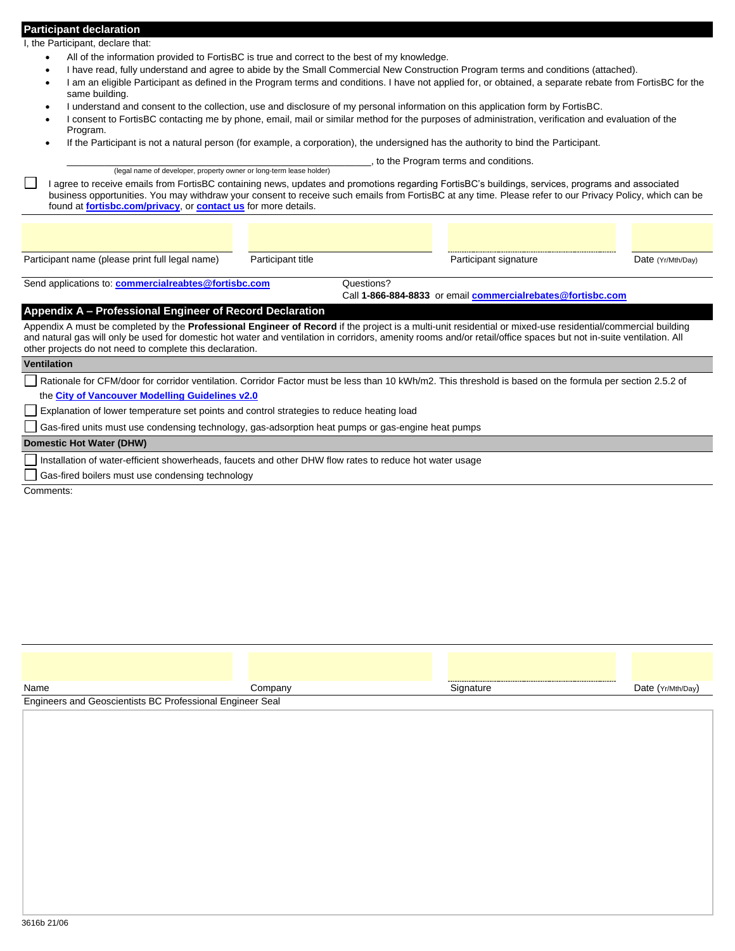#### **Participant declaration**

I, the Participant, declare that:

- All of the information provided to FortisBC is true and correct to the best of my knowledge.
- I have read, fully understand and agree to abide by the Small Commercial New Construction Program terms and conditions (attached).
- I am an eligible Participant as defined in the Program terms and conditions. I have not applied for, or obtained, a separate rebate from FortisBC for the same building.
- I understand and consent to the collection, use and disclosure of my personal information on this application form by FortisBC.
- I consent to FortisBC contacting me by phone, email, mail or similar method for the purposes of administration, verification and evaluation of the Program.
- If the Participant is not a natural person (for example, a corporation), the undersigned has the authority to bind the Participant.

to the Program terms and conditions. (legal name of developer, property owner or long-term lease holder) I agree to receive emails from FortisBC containing news, updates and promotions regarding FortisBC's buildings, services, programs and associated business opportunities. You may withdraw your consent to receive such emails from FortisBC at any time. Please refer to our Privacy Policy, which can be found at **[fortisbc.com/privacy](https://fortisbc.com/privacy)**, or **[contact us](https://www.fortisbc.com/contact-us)** for more details.

Participant name (please print full legal name) Participant title Participant Participant signature Date (Yr/Mth/Day)

Send applications to: **[commercialreabtes@fortisbc.com](mailto:commercialreabtes@fortisbc.com)** Questions?

Call **1-866-884-8833** or email **[commercialrebates@fortisbc.com](mailto:industrialrebates@fortisbc.com)**

# <span id="page-1-0"></span>**Appendix A – Professional Engineer of Record Declaration**

Appendix A must be completed by the **Professional Engineer of Record** if the project is a multi-unit residential or mixed-use residential/commercial building and natural gas will only be used for domestic hot water and ventilation in corridors, amenity rooms and/or retail/office spaces but not in-suite ventilation. All other projects do not need to complete this declaration.

#### **Ventilation**

Rationale for CFM/door for corridor ventilation. Corridor Factor must be less than 10 kWh/m2. This threshold is based on the formula per section 2.5.2 of the **[City of Vancouver Modelling Guidelines v2.0](https://vancouver.ca/files/cov/guidelines-energy-modelling.pdf)**

Explanation of lower temperature set points and control strategies to reduce heating load

Gas-fired units must use condensing technology, gas-adsorption heat pumps or gas-engine heat pumps

#### **Domestic Hot Water (DHW)**

Installation of water-efficient showerheads, faucets and other DHW flow rates to reduce hot water usage

Gas-fired boilers must use condensing technology

Comments:

| Name                                                      | Company | Sianature | Date (Yr/Mth/Day) |
|-----------------------------------------------------------|---------|-----------|-------------------|
| Engineers and Geoscientists BC Professional Engineer Seal |         |           |                   |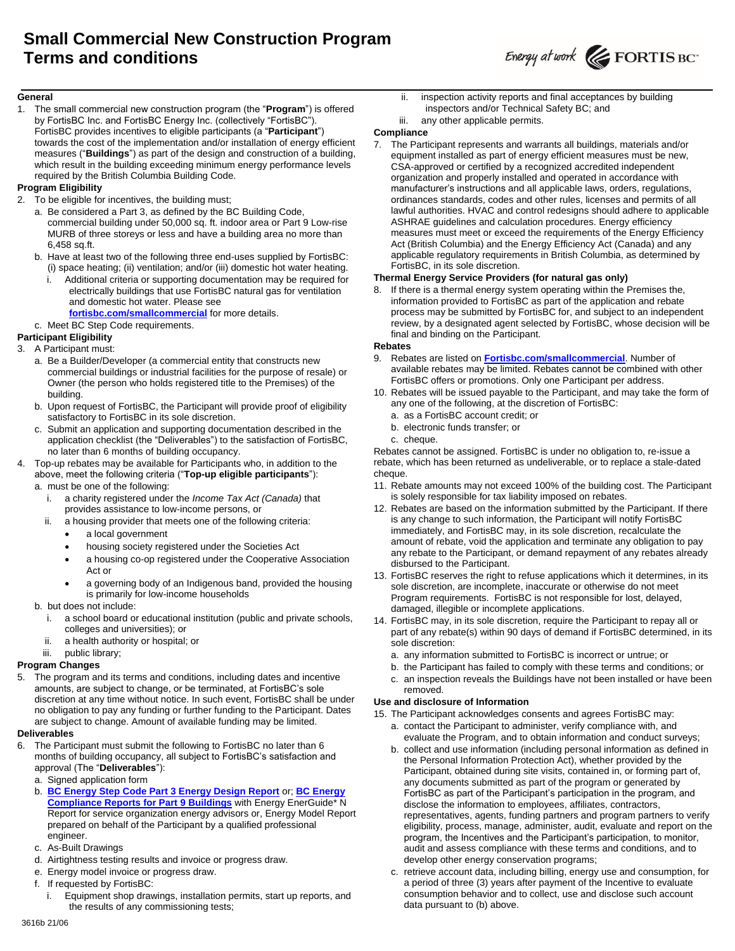

#### **General**

1. The small commercial new construction program (the "**Program**") is offered by FortisBC Inc. and FortisBC Energy Inc. (collectively "FortisBC"). FortisBC provides incentives to eligible participants (a "**Participant**") towards the cost of the implementation and/or installation of energy efficient measures ("**Buildings**") as part of the design and construction of a building, which result in the building exceeding minimum energy performance levels required by the British Columbia Building Code.

# **Program Eligibility**

- 2. To be eligible for incentives, the building must;
	- a. Be considered a Part 3, as defined by the BC Building Code, commercial building under 50,000 sq. ft. indoor area or Part 9 Low-rise MURB of three storeys or less and have a building area no more than 6,458 sq.ft.
	- b. Have at least two of the following three end-uses supplied by FortisBC: (i) space heating; (ii) ventilation; and/or (iii) domestic hot water heating.
		- i. Additional criteria or supporting documentation may be required for electrically buildings that use FortisBC natural gas for ventilation and domestic hot water. Please see **[fortisbc.com/smallcommercial](http://www.fortisbc.com/smallcommercial)** for more details.
	- c. Meet BC Step Code requirements.

# **Participant Eligibility**

- 3. A Participant must:
	- a. Be a Builder/Developer (a commercial entity that constructs new commercial buildings or industrial facilities for the purpose of resale) or Owner (the person who holds registered title to the Premises) of the building.
	- b. Upon request of FortisBC, the Participant will provide proof of eligibility satisfactory to FortisBC in its sole discretion.
	- c. Submit an application and supporting documentation described in the application checklist (the "Deliverables") to the satisfaction of FortisBC, no later than 6 months of building occupancy.
- 4. Top-up rebates may be available for Participants who, in addition to the above, meet the following criteria ("**Top-up eligible participants**"): a. must be one of the following:
	- i. a charity registered under the *Income Tax Act (Canada)* that provides assistance to low-income persons, or
	- ii. a housing provider that meets one of the following criteria:
		- a local government
		- housing society registered under the Societies Act
		- a housing co-op registered under the Cooperative Association Act or
		- a governing body of an Indigenous band, provided the housing is primarily for low-income households
	- b. but does not include:
		- i. a school board or educational institution (public and private schools, colleges and universities); or
		- ii. a health authority or hospital; or

# iii. public library;

# **Program Changes**

The program and its terms and conditions, including dates and incentive amounts, are subject to change, or be terminated, at FortisBC's sole discretion at any time without notice. In such event, FortisBC shall be under no obligation to pay any funding or further funding to the Participant. Dates are subject to change. Amount of available funding may be limited.

# **Deliverables**

- 6. The Participant must submit the following to FortisBC no later than 6 months of building occupancy, all subject to FortisBC's satisfaction and approval (The "**Deliverables**"):
	- a. Signed application form
	- b. **[BC Energy Step Code Part 3 Energy Design Report](https://energystepcode.ca/compliance-tools-part3)** or; **[BC Energy](https://energystepcode.ca/compliance-tools-part9)  [Compliance Reports for Part 9 Buildings](https://energystepcode.ca/compliance-tools-part9)** with Energy EnerGuide\* N Report for service organization energy advisors or, Energy Model Report prepared on behalf of the Participant by a qualified professional engineer.
	- c. As-Built Drawings
	- d. Airtightness testing results and invoice or progress draw.
	- e. Energy model invoice or progress draw.
	- f. If requested by FortisBC:
		- Equipment shop drawings, installation permits, start up reports, and the results of any commissioning tests;
- ii. inspection activity reports and final acceptances by building inspectors and/or Technical Safety BC; and
- iii. any other applicable permits.

#### **Compliance**

7. The Participant represents and warrants all buildings, materials and/or equipment installed as part of energy efficient measures must be new, CSA-approved or certified by a recognized accredited independent organization and properly installed and operated in accordance with manufacturer's instructions and all applicable laws, orders, regulations, ordinances standards, codes and other rules, licenses and permits of all lawful authorities. HVAC and control redesigns should adhere to applicable ASHRAE guidelines and calculation procedures. Energy efficiency measures must meet or exceed the requirements of the Energy Efficiency Act (British Columbia) and the Energy Efficiency Act (Canada) and any applicable regulatory requirements in British Columbia, as determined by FortisBC, in its sole discretion.

# **Thermal Energy Service Providers (for natural gas only)**

8. If there is a thermal energy system operating within the Premises the, information provided to FortisBC as part of the application and rebate process may be submitted by FortisBC for, and subject to an independent review, by a designated agent selected by FortisBC, whose decision will be final and binding on the Participant.

# **Rebates**

- 9. Rebates are listed on **[Fortisbc.com/smallcommercial](https://www.fortisbc.com/smallcommercial)**. Number of available rebates may be limited. Rebates cannot be combined with other FortisBC offers or promotions. Only one Participant per address.
- 10. Rebates will be issued payable to the Participant, and may take the form of any one of the following, at the discretion of FortisBC:
	- a. as a FortisBC account credit; or
	- b. electronic funds transfer; or
	- c. cheque.

Rebates cannot be assigned. FortisBC is under no obligation to, re-issue a rebate, which has been returned as undeliverable, or to replace a stale-dated cheque.

- 11. Rebate amounts may not exceed 100% of the building cost. The Participant is solely responsible for tax liability imposed on rebates.
- 12. Rebates are based on the information submitted by the Participant. If there is any change to such information, the Participant will notify FortisBC immediately, and FortisBC may, in its sole discretion, recalculate the amount of rebate, void the application and terminate any obligation to pay any rebate to the Participant, or demand repayment of any rebates already disbursed to the Participant.
- 13. FortisBC reserves the right to refuse applications which it determines, in its sole discretion, are incomplete, inaccurate or otherwise do not meet Program requirements. FortisBC is not responsible for lost, delayed, damaged, illegible or incomplete applications.
- 14. FortisBC may, in its sole discretion, require the Participant to repay all or part of any rebate(s) within 90 days of demand if FortisBC determined, in its sole discretion:
	- a. any information submitted to FortisBC is incorrect or untrue; or
	- b. the Participant has failed to comply with these terms and conditions; or
	- c. an inspection reveals the Buildings have not been installed or have been removed.

# **Use and disclosure of Information**

15. The Participant acknowledges consents and agrees FortisBC may:

- a. contact the Participant to administer, verify compliance with, and evaluate the Program, and to obtain information and conduct surveys;
- b. collect and use information (including personal information as defined in the Personal Information Protection Act), whether provided by the Participant, obtained during site visits, contained in, or forming part of, any documents submitted as part of the program or generated by FortisBC as part of the Participant's participation in the program, and disclose the information to employees, affiliates, contractors, representatives, agents, funding partners and program partners to verify eligibility, process, manage, administer, audit, evaluate and report on the program, the Incentives and the Participant's participation, to monitor, audit and assess compliance with these terms and conditions, and to develop other energy conservation programs;
- c. retrieve account data, including billing, energy use and consumption, for a period of three (3) years after payment of the Incentive to evaluate consumption behavior and to collect, use and disclose such account data pursuant to (b) above.